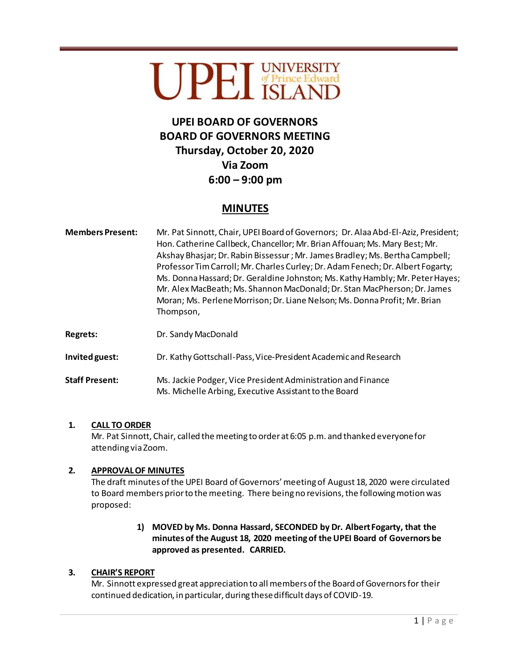# UPET UNIVERSITY

## **UPEI BOARD OF GOVERNORS BOARD OF GOVERNORS MEETING Thursday, October 20, 2020 Via Zoom 6:00 – 9:00 pm**

### **MINUTES**

- **Members Present:** Mr. Pat Sinnott, Chair, UPEI Board of Governors; Dr. Alaa Abd-El-Aziz, President; Hon. Catherine Callbeck, Chancellor; Mr. Brian Affouan; Ms. Mary Best; Mr. Akshay Bhasjar;Dr. Rabin Bissessur ;Mr. James Bradley; Ms. Bertha Campbell; Professor Tim Carroll; Mr. Charles Curley; Dr. Adam Fenech; Dr. Albert Fogarty; Ms. Donna Hassard; Dr. Geraldine Johnston; Ms. Kathy Hambly; Mr. Peter Hayes; Mr. Alex MacBeath; Ms. Shannon MacDonald; Dr. Stan MacPherson; Dr. James Moran; Ms. Perlene Morrison;Dr. Liane Nelson; Ms. Donna Profit; Mr. Brian Thompson,
- **Regrets:** Dr. Sandy MacDonald

**Invited guest:** Dr. Kathy Gottschall-Pass, Vice-President Academic and Research

**Staff Present:** Ms. Jackie Podger, Vice President Administration and Finance Ms. Michelle Arbing, Executive Assistant to the Board

#### **1. CALL TO ORDER**

Mr. Pat Sinnott, Chair, called the meeting to order at 6:05 p.m. and thanked everyone for attending via Zoom.

#### **2. APPROVAL OF MINUTES**

The draft minutes of the UPEI Board of Governors' meeting of August 18, 2020 were circulated to Board members prior to the meeting. There being no revisions, the following motion was proposed:

#### **1) MOVED by Ms. Donna Hassard, SECONDED by Dr. Albert Fogarty, that the minutes of the August 18, 2020 meeting of the UPEI Board of Governors be approved as presented. CARRIED.**

#### **3. CHAIR'S REPORT**

Mr. Sinnott expressed great appreciation to all members of the Board of Governors for their continued dedication, in particular, during these difficult days of COVID-19.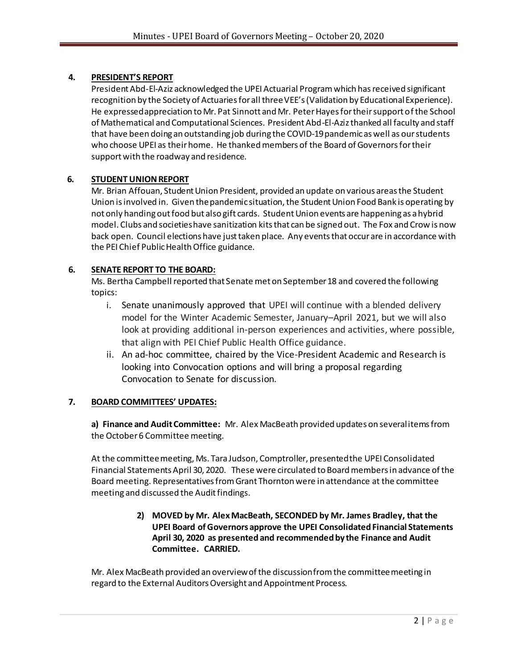#### **4. PRESIDENT'S REPORT**

President Abd-El-Aziz acknowledged the UPEI Actuarial Program which has received significant recognition by the Society of Actuaries for all three VEE's (Validation by Educational Experience). He expressed appreciation to Mr. Pat Sinnott and Mr. Peter Hayes for their support of the School of Mathematical and Computational Sciences. President Abd-El-Aziz thanked all faculty and staff that have been doing an outstanding job during the COVID-19 pandemic as well as our students who choose UPEI as their home. He thanked members of the Board of Governors for their support with the roadway and residence.

#### **6. STUDENT UNION REPORT**

Mr. Brian Affouan, Student Union President, provided an update on various areas the Student Union is involved in. Given the pandemic situation, the Student Union Food Bank is operating by not only handing out food but also gift cards. Student Union events are happening as a hybrid model. Clubs and societies have sanitization kits that can be signed out. The Fox and Crow is now back open. Council elections have just taken place. Any events that occur are in accordance with the PEI Chief Public Health Office guidance.

#### **6. SENATE REPORT TO THE BOARD:**

Ms. Bertha Campbell reported that Senate met on September 18 and covered the following topics:

- i. Senate unanimously approved that UPEI will continue with a blended delivery model for the Winter Academic Semester, January–April 2021, but we will also look at providing additional in-person experiences and activities, where possible, that align with PEI Chief Public Health Office guidance.
- ii. An ad-hoc committee, chaired by the Vice-President Academic and Research is looking into Convocation options and will bring a proposal regarding Convocation to Senate for discussion.

#### **7. BOARD COMMITTEES' UPDATES:**

**a) Finance and Audit Committee:** Mr. Alex MacBeath provided updates on several items from the October 6 Committee meeting.

At the committee meeting, Ms. Tara Judson, Comptroller, presented the UPEI Consolidated Financial Statements April 30, 2020. These were circulated to Board members in advance of the Board meeting. Representatives from Grant Thornton were in attendance at the committee meeting and discussed the Audit findings.

#### **2) MOVED by Mr. Alex MacBeath, SECONDED by Mr. James Bradley, that the UPEI Board of Governors approve the UPEI Consolidated Financial Statements April 30, 2020 as presented and recommended by the Finance and Audit Committee. CARRIED.**

Mr. Alex MacBeath provided an overview of the discussion from the committee meeting in regard to the External Auditors Oversight and Appointment Process.